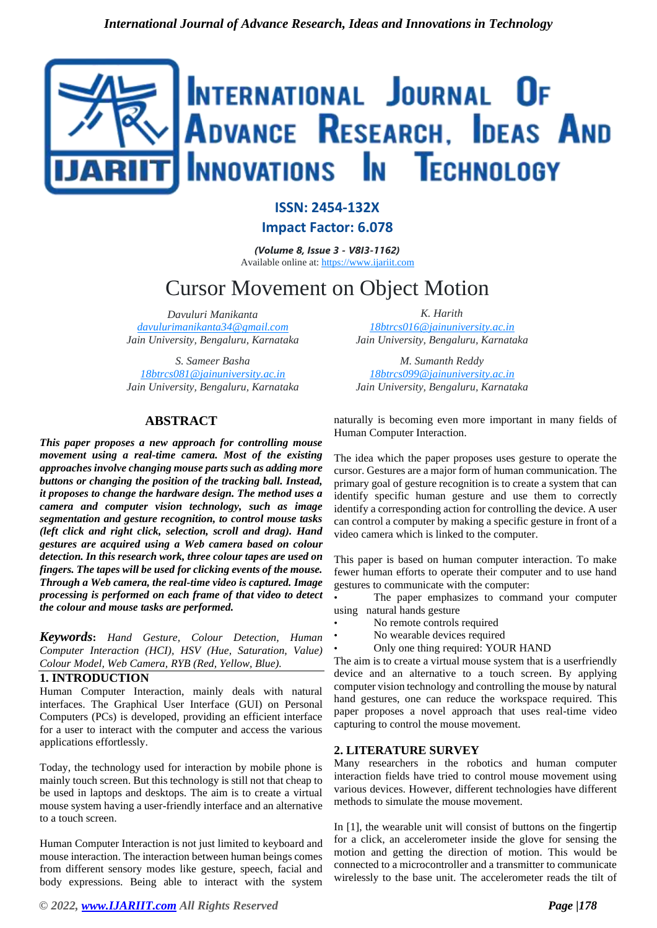

# **ISSN: 2454-132X**

**Impact Factor: 6.078**

*(Volume 8, Issue 3 - V8I3-1162)* Available online at: [https://www.ijariit.com](https://www.ijariit.com/?utm_source=pdf&utm_medium=edition&utm_campaign=OmAkSols&utm_term=V8I3-1162)

# Cursor Movement on Object Motion

*Davuluri Manikanta [davulurimanikanta34@gmail.com](mailto:davulurimanikanta34@gmail.com) Jain University, Bengaluru, Karnataka*

*S. Sameer Basha [18btrcs081@jainuniversity.ac.in](mailto:18btrcs081@jainuniversity.ac.in) Jain University, Bengaluru, Karnataka*

# **ABSTRACT**

*This paper proposes a new approach for controlling mouse movement using a real-time camera. Most of the existing approaches involve changing mouse parts such as adding more buttons or changing the position of the tracking ball. Instead, it proposes to change the hardware design. The method uses a camera and computer vision technology, such as image segmentation and gesture recognition, to control mouse tasks (left click and right click, selection, scroll and drag). Hand gestures are acquired using a Web camera based on colour detection. In this research work, three colour tapes are used on fingers. The tapes will be used for clicking events of the mouse. Through a Web camera, the real-time video is captured. Image processing is performed on each frame of that video to detect the colour and mouse tasks are performed.* 

*Keywords***:** *Hand Gesture, Colour Detection, Human Computer Interaction (HCI), HSV (Hue, Saturation, Value) Colour Model, Web Camera, RYB (Red, Yellow, Blue).*

# **1. INTRODUCTION**

Human Computer Interaction, mainly deals with natural interfaces. The Graphical User Interface (GUI) on Personal Computers (PCs) is developed, providing an efficient interface for a user to interact with the computer and access the various applications effortlessly.

Today, the technology used for interaction by mobile phone is mainly touch screen. But this technology is still not that cheap to be used in laptops and desktops. The aim is to create a virtual mouse system having a user-friendly interface and an alternative to a touch screen.

Human Computer Interaction is not just limited to keyboard and mouse interaction. The interaction between human beings comes from different sensory modes like gesture, speech, facial and body expressions. Being able to interact with the system

*K. Harith [18btrcs016@jainuniversity.ac.in](mailto:18btrcs016@jainuniversity.ac.in) Jain University, Bengaluru, Karnataka*

*M. Sumanth Reddy [18btrcs099@jainuniversity.ac.in](mailto:18btrcs099@jainuniversity.ac.in) Jain University, Bengaluru, Karnataka*

naturally is becoming even more important in many fields of Human Computer Interaction.

The idea which the paper proposes uses gesture to operate the cursor. Gestures are a major form of human communication. The primary goal of gesture recognition is to create a system that can identify specific human gesture and use them to correctly identify a corresponding action for controlling the device. A user can control a computer by making a specific gesture in front of a video camera which is linked to the computer.

This paper is based on human computer interaction. To make fewer human efforts to operate their computer and to use hand gestures to communicate with the computer:

The paper emphasizes to command your computer using natural hands gesture

- No remote controls required
- No wearable devices required
- Only one thing required: YOUR HAND

The aim is to create a virtual mouse system that is a userfriendly device and an alternative to a touch screen. By applying computer vision technology and controlling the mouse by natural hand gestures, one can reduce the workspace required. This paper proposes a novel approach that uses real-time video capturing to control the mouse movement.

# **2. LITERATURE SURVEY**

Many researchers in the robotics and human computer interaction fields have tried to control mouse movement using various devices. However, different technologies have different methods to simulate the mouse movement.

In [1], the wearable unit will consist of buttons on the fingertip for a click, an accelerometer inside the glove for sensing the motion and getting the direction of motion. This would be connected to a microcontroller and a transmitter to communicate wirelessly to the base unit. The accelerometer reads the tilt of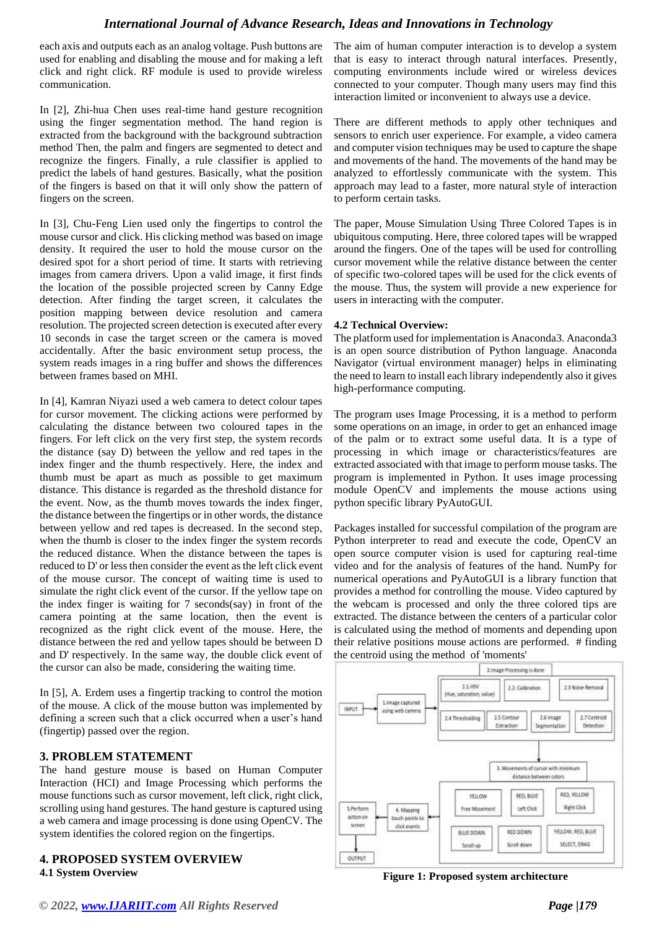# *International Journal of Advance Research, Ideas and Innovations in Technology*

each axis and outputs each as an analog voltage. Push buttons are used for enabling and disabling the mouse and for making a left click and right click. RF module is used to provide wireless communication.

In [2], [Zhi-hua](https://www.hindawi.com/48797946/) [Chen](https://www.hindawi.com/48797946/) [u](https://www.hindawi.com/48797946/)ses real-time hand gesture recognition using the finger segmentation method. The hand region is extracted from the background with the background subtraction method Then, the palm and fingers are segmented to detect and recognize the fingers. Finally, a rule classifier is applied to predict the labels of hand gestures. Basically, what the position of the fingers is based on that it will only show the pattern of fingers on the screen.

In [3], Chu-Feng Lien used only the fingertips to control the mouse cursor and click. His clicking method was based on image density. It required the user to hold the mouse cursor on the desired spot for a short period of time. It starts with retrieving images from camera drivers. Upon a valid image, it first finds the location of the possible projected screen by Canny Edge detection. After finding the target screen, it calculates the position mapping between device resolution and camera resolution. The projected screen detection is executed after every 10 seconds in case the target screen or the camera is moved accidentally. After the basic environment setup process, the system reads images in a ring buffer and shows the differences between frames based on MHI.

In [4], Kamran Niyazi used a web camera to detect colour tapes for cursor movement. The clicking actions were performed by calculating the distance between two coloured tapes in the fingers. For left click on the very first step, the system records the distance (say D) between the yellow and red tapes in the index finger and the thumb respectively. Here, the index and thumb must be apart as much as possible to get maximum distance. This distance is regarded as the threshold distance for the event. Now, as the thumb moves towards the index finger, the distance between the fingertips or in other words, the distance between yellow and red tapes is decreased. In the second step, when the thumb is closer to the index finger the system records the reduced distance. When the distance between the tapes is reduced to D' or less then consider the event as the left click event of the mouse cursor. The concept of waiting time is used to simulate the right click event of the cursor. If the yellow tape on the index finger is waiting for 7 seconds(say) in front of the camera pointing at the same location, then the event is recognized as the right click event of the mouse. Here, the distance between the red and yellow tapes should be between D and D' respectively. In the same way, the double click event of the cursor can also be made, considering the waiting time.

In [5], A. Erdem uses a fingertip tracking to control the motion of the mouse. A click of the mouse button was implemented by defining a screen such that a click occurred when a user's hand (fingertip) passed over the region.

# **3. PROBLEM STATEMENT**

The hand gesture mouse is based on Human Computer Interaction (HCI) and Image Processing which performs the mouse functions such as cursor movement, left click, right click, scrolling using hand gestures. The hand gesture is captured using a web camera and image processing is done using OpenCV. The system identifies the colored region on the fingertips.

**4. PROPOSED SYSTEM OVERVIEW 4.1 System Overview** 

The aim of human computer interaction is to develop a system that is easy to interact through natural interfaces. Presently, computing environments include wired or wireless devices connected to your computer. Though many users may find this interaction limited or inconvenient to always use a device.

There are different methods to apply other techniques and sensors to enrich user experience. For example, a video camera and computer vision techniques may be used to capture the shape and movements of the hand. The movements of the hand may be analyzed to effortlessly communicate with the system. This approach may lead to a faster, more natural style of interaction to perform certain tasks.

The paper, Mouse Simulation Using Three Colored Tapes is in ubiquitous computing. Here, three colored tapes will be wrapped around the fingers. One of the tapes will be used for controlling cursor movement while the relative distance between the center of specific two-colored tapes will be used for the click events of the mouse. Thus, the system will provide a new experience for users in interacting with the computer.

#### **4.2 Technical Overview:**

The platform used for implementation is Anaconda3. Anaconda3 is an open source distribution of Python language. Anaconda Navigator (virtual environment manager) helps in eliminating the need to learn to install each library independently also it gives high-performance computing.

The program uses Image Processing, it is a method to perform some operations on an image, in order to get an enhanced image of the palm or to extract some useful data. It is a type of processing in which image or characteristics/features are extracted associated with that image to perform mouse tasks. The program is implemented in Python. It uses image processing module OpenCV and implements the mouse actions using python specific library PyAutoGUI.

Packages installed for successful compilation of the program are Python interpreter to read and execute the code, OpenCV an open source computer vision is used for capturing real-time video and for the analysis of features of the hand. NumPy for numerical operations and PyAutoGUI is a library function that provides a method for controlling the mouse. Video captured by the webcam is processed and only the three colored tips are extracted. The distance between the centers of a particular color is calculated using the method of moments and depending upon their relative positions mouse actions are performed. # finding the centroid using the method of 'moments'



**Figure 1: Proposed system architecture**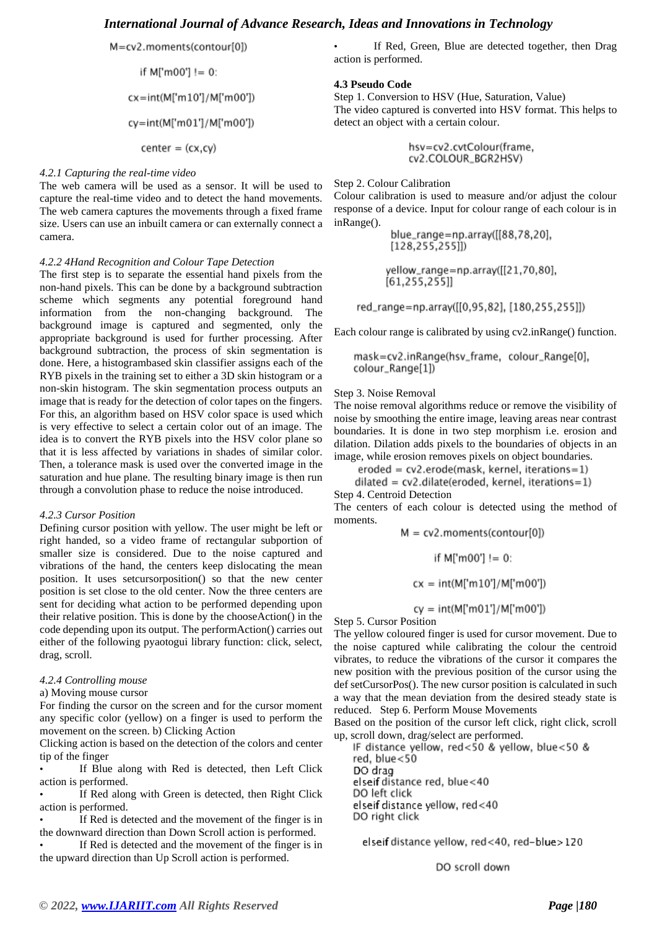M=cv2.moments(contour[0])

if M['m00'] != 0:

cx=int(M['m10']/M['m00'])

cy=int(M['m01']/M['m00'])

 $center = (cx, cy)$ 

#### *4.2.1 Capturing the real-time video*

The web camera will be used as a sensor. It will be used to capture the real-time video and to detect the hand movements. The web camera captures the movements through a fixed frame size. Users can use an inbuilt camera or can externally connect a camera.

#### *4.2.2 4Hand Recognition and Colour Tape Detection*

The first step is to separate the essential hand pixels from the non-hand pixels. This can be done by a background subtraction scheme which segments any potential foreground hand information from the non-changing background. The background image is captured and segmented, only the appropriate background is used for further processing. After background subtraction, the process of skin segmentation is done. Here, a histogrambased skin classifier assigns each of the RYB pixels in the training set to either a 3D skin histogram or a non-skin histogram. The skin segmentation process outputs an image that is ready for the detection of color tapes on the fingers. For this, an algorithm based on HSV color space is used which is very effective to select a certain color out of an image. The idea is to convert the RYB pixels into the HSV color plane so that it is less affected by variations in shades of similar color. Then, a tolerance mask is used over the converted image in the saturation and hue plane. The resulting binary image is then run through a convolution phase to reduce the noise introduced.

#### *4.2.3 Cursor Position*

Defining cursor position with yellow. The user might be left or right handed, so a video frame of rectangular subportion of smaller size is considered. Due to the noise captured and vibrations of the hand, the centers keep dislocating the mean position. It uses setcursorposition() so that the new center position is set close to the old center. Now the three centers are sent for deciding what action to be performed depending upon their relative position. This is done by the chooseAction() in the code depending upon its output. The performAction() carries out either of the following pyaotogui library function: click, select, drag, scroll.

#### *4.2.4 Controlling mouse*

#### a) Moving mouse cursor

For finding the cursor on the screen and for the cursor moment any specific color (yellow) on a finger is used to perform the movement on the screen. b) Clicking Action

Clicking action is based on the detection of the colors and center tip of the finger

If Blue along with Red is detected, then Left Click action is performed.

If Red along with Green is detected, then Right Click action is performed.

If Red is detected and the movement of the finger is in the downward direction than Down Scroll action is performed.

If Red is detected and the movement of the finger is in the upward direction than Up Scroll action is performed.

If Red, Green, Blue are detected together, then Drag action is performed.

#### **4.3 Pseudo Code**

Step 1. Conversion to HSV (Hue, Saturation, Value) The video captured is converted into HSV format. This helps to detect an object with a certain colour.

> hsv=cv2.cvtColour(frame, cv2.COLOUR\_BGR2HSV)

#### Step 2. Colour Calibration

Colour calibration is used to measure and/or adjust the colour response of a device. Input for colour range of each colour is in inRange().

> blue\_range=np.array([[88,78,20],  $[128, 255, 255]]$

yellow\_range=np.array([[21,70,80],  $[61, 255, 255]$ 

red\_range=np.array([[0,95,82], [180,255,255]])

Each colour range is calibrated by using cv2.inRange() function.

mask=cv2.inRange(hsv\_frame, colour\_Range[0], colour\_Range[1])

#### Step 3. Noise Removal

The noise removal algorithms reduce or remove the visibility of noise by smoothing the entire image, leaving areas near contrast boundaries. It is done in two step morphism i.e. erosion and dilation. Dilation adds pixels to the boundaries of objects in an image, while erosion removes pixels on object boundaries.

eroded = cv2.erode(mask, kernel, iterations=1)

 $dilateral = cv2$ .dilate(eroded, kernel, iterations=1) Step 4. Centroid Detection

The centers of each colour is detected using the method of moments.

 $M = cv2$ .moments(contour[0])

if M['m00'] != 0:

 $cx = int(M["m10"]/M["m00"]$ 

 $cy = int(M["m01"]/M["m00"])$ 

Step 5. Cursor Position

The yellow coloured finger is used for cursor movement. Due to the noise captured while calibrating the colour the centroid vibrates, to reduce the vibrations of the cursor it compares the new position with the previous position of the cursor using the def setCursorPos(). The new cursor position is calculated in such a way that the mean deviation from the desired steady state is reduced. Step 6. Perform Mouse Movements

Based on the position of the cursor left click, right click, scroll up, scroll down, drag/select are performed.

IF distance yellow, red<50 & yellow, blue<50 & red, blue<50 DO drag elseif distance red, blue<40 DO left click elseif distance yellow, red<40 DO right click

elseif distance yellow, red<40, red-blue>120

DO scroll down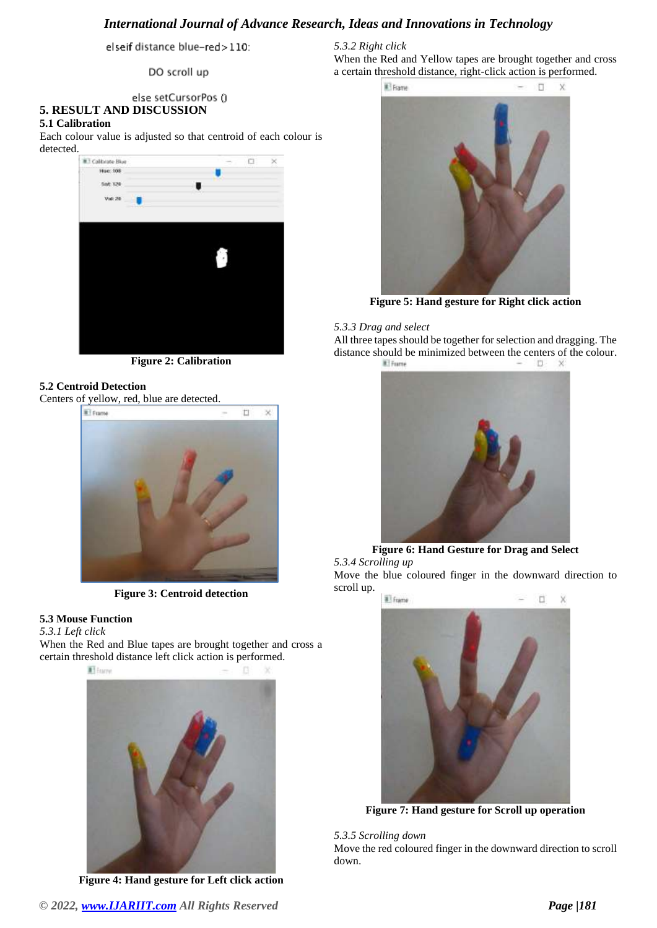# *International Journal of Advance Research, Ideas and Innovations in Technology*

elseif distance blue-red>110:

DO scroll up

## else setCursorPos () **5. RESULT AND DISCUSSION**

#### **5.1 Calibration**

Each colour value is adjusted so that centroid of each colour is detected.



**Figure 2: Calibration**

# **5.2 Centroid Detection**

Centers of yellow, red, blue are detected.



**Figure 3: Centroid detection**

# **5.3 Mouse Function**

#### *5.3.1 Left click*

When the Red and Blue tapes are brought together and cross a certain threshold distance left click action is performed.



**Figure 4: Hand gesture for Left click action**

## *5.3.2 Right click*

When the Red and Yellow tapes are brought together and cross a certain threshold distance, right-click action is performed.



**Figure 5: Hand gesture for Right click action**

#### *5.3.3 Drag and select*

All three tapes should be together for selection and dragging. The distance should be minimized between the centers of the colour.  $\Box$ 



**Figure 6: Hand Gesture for Drag and Select** *5.3.4 Scrolling up*  Move the blue coloured finger in the downward direction to scroll up.



**Figure 7: Hand gesture for Scroll up operation**

*5.3.5 Scrolling down*  Move the red coloured finger in the downward direction to scroll down.